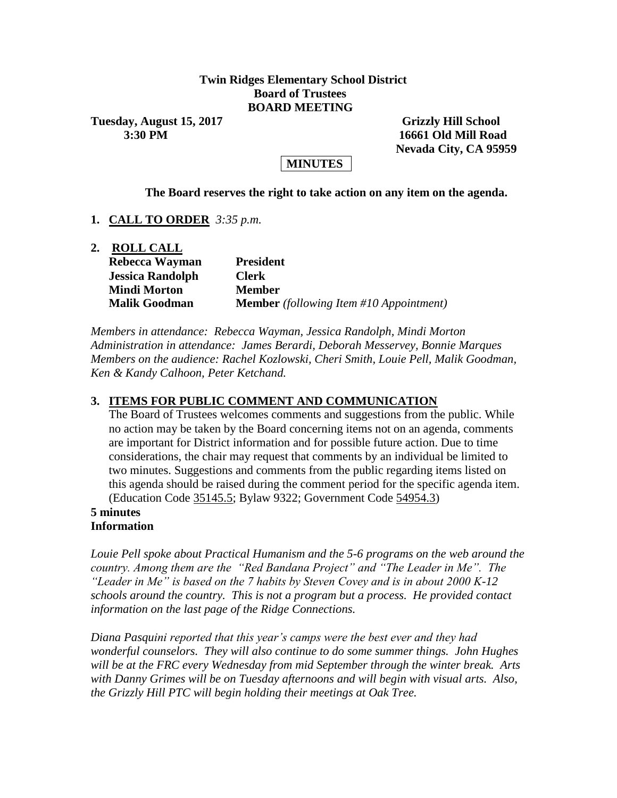# **Twin Ridges Elementary School District Board of Trustees BOARD MEETING**

**Tuesday, August 15, 2017 Grizzly Hill School** 

 **3:30 PM 16661 Old Mill Road Nevada City, CA 95959**

# **MINUTES**

#### **The Board reserves the right to take action on any item on the agenda.**

**1. CALL TO ORDER** *3:35 p.m.*

| <b>ROLL CALL</b>        |                                                |
|-------------------------|------------------------------------------------|
| Rebecca Wayman          | <b>President</b>                               |
| <b>Jessica Randolph</b> | <b>Clerk</b>                                   |
| <b>Mindi Morton</b>     | <b>Member</b>                                  |
| <b>Malik Goodman</b>    | <b>Member</b> (following Item #10 Appointment) |

*Members in attendance: Rebecca Wayman, Jessica Randolph, Mindi Morton Administration in attendance: James Berardi, Deborah Messervey, Bonnie Marques Members on the audience: Rachel Kozlowski, Cheri Smith, Louie Pell, Malik Goodman, Ken & Kandy Calhoon, Peter Ketchand.*

# **3. ITEMS FOR PUBLIC COMMENT AND COMMUNICATION**

The Board of Trustees welcomes comments and suggestions from the public. While no action may be taken by the Board concerning items not on an agenda, comments are important for District information and for possible future action. Due to time considerations, the chair may request that comments by an individual be limited to two minutes. Suggestions and comments from the public regarding items listed on this agenda should be raised during the comment period for the specific agenda item. (Education Code 35145.5; Bylaw 9322; Government Code 54954.3)

## **5 minutes Information**

*Louie Pell spoke about Practical Humanism and the 5-6 programs on the web around the country. Among them are the "Red Bandana Project" and "The Leader in Me". The "Leader in Me" is based on the 7 habits by Steven Covey and is in about 2000 K-12 schools around the country. This is not a program but a process. He provided contact information on the last page of the Ridge Connections.*

*Diana Pasquini reported that this year's camps were the best ever and they had wonderful counselors. They will also continue to do some summer things. John Hughes will be at the FRC every Wednesday from mid September through the winter break. Arts with Danny Grimes will be on Tuesday afternoons and will begin with visual arts. Also, the Grizzly Hill PTC will begin holding their meetings at Oak Tree.*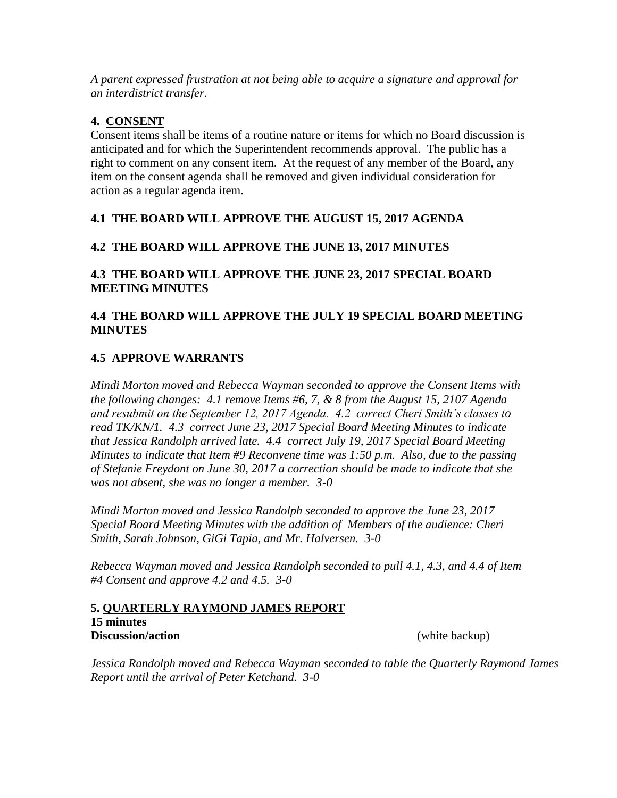*A parent expressed frustration at not being able to acquire a signature and approval for an interdistrict transfer.*

# **4. CONSENT**

Consent items shall be items of a routine nature or items for which no Board discussion is anticipated and for which the Superintendent recommends approval. The public has a right to comment on any consent item. At the request of any member of the Board, any item on the consent agenda shall be removed and given individual consideration for action as a regular agenda item.

# **4.1 THE BOARD WILL APPROVE THE AUGUST 15, 2017 AGENDA**

# **4.2 THE BOARD WILL APPROVE THE JUNE 13, 2017 MINUTES**

**4.3 THE BOARD WILL APPROVE THE JUNE 23, 2017 SPECIAL BOARD MEETING MINUTES**

# **4.4 THE BOARD WILL APPROVE THE JULY 19 SPECIAL BOARD MEETING MINUTES**

# **4.5 APPROVE WARRANTS**

*Mindi Morton moved and Rebecca Wayman seconded to approve the Consent Items with the following changes: 4.1 remove Items #6, 7, & 8 from the August 15, 2107 Agenda and resubmit on the September 12, 2017 Agenda. 4.2 correct Cheri Smith's classes to read TK/KN/1. 4.3 correct June 23, 2017 Special Board Meeting Minutes to indicate that Jessica Randolph arrived late. 4.4 correct July 19, 2017 Special Board Meeting Minutes to indicate that Item #9 Reconvene time was 1:50 p.m. Also, due to the passing of Stefanie Freydont on June 30, 2017 a correction should be made to indicate that she was not absent, she was no longer a member. 3-0*

*Mindi Morton moved and Jessica Randolph seconded to approve the June 23, 2017 Special Board Meeting Minutes with the addition of Members of the audience: Cheri Smith, Sarah Johnson, GiGi Tapia, and Mr. Halversen. 3-0*

*Rebecca Wayman moved and Jessica Randolph seconded to pull 4.1, 4.3, and 4.4 of Item #4 Consent and approve 4.2 and 4.5. 3-0*

#### **5. QUARTERLY RAYMOND JAMES REPORT 15 minutes Discussion/action** (white backup)

*Jessica Randolph moved and Rebecca Wayman seconded to table the Quarterly Raymond James Report until the arrival of Peter Ketchand. 3-0*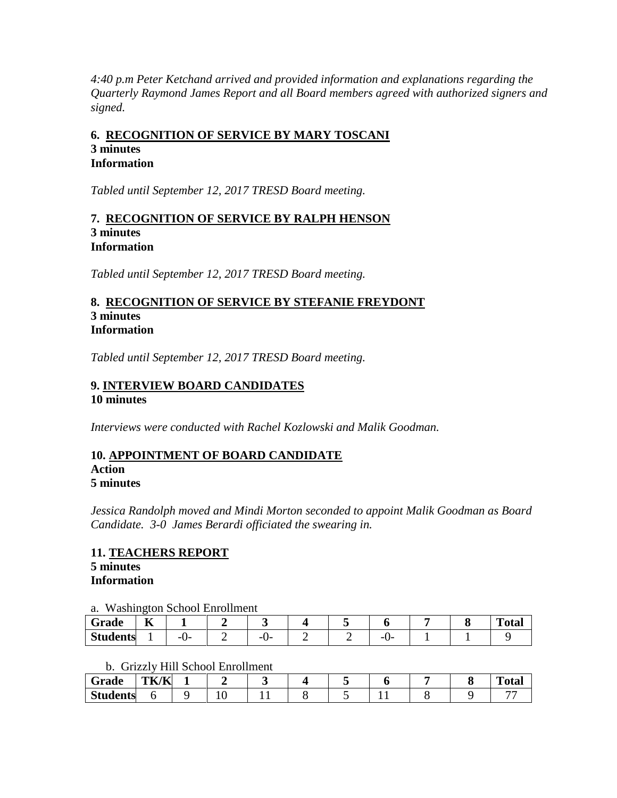*4:40 p.m Peter Ketchand arrived and provided information and explanations regarding the Quarterly Raymond James Report and all Board members agreed with authorized signers and signed.* 

# **6. RECOGNITION OF SERVICE BY MARY TOSCANI 3 minutes Information**

*Tabled until September 12, 2017 TRESD Board meeting.*

#### **7. RECOGNITION OF SERVICE BY RALPH HENSON 3 minutes Information**

*Tabled until September 12, 2017 TRESD Board meeting.*

# **8. RECOGNITION OF SERVICE BY STEFANIE FREYDONT 3 minutes Information**

*Tabled until September 12, 2017 TRESD Board meeting.*

# **9. INTERVIEW BOARD CANDIDATES 10 minutes**

*Interviews were conducted with Rachel Kozlowski and Malik Goodman.*

#### **10. APPOINTMENT OF BOARD CANDIDATE Action 5 minutes**

*Jessica Randolph moved and Mindi Morton seconded to appoint Malik Goodman as Board Candidate. 3-0 James Berardi officiated the swearing in.*

#### **11. TEACHERS REPORT 5 minutes Information**

# a. Washington School Enrollment

| Grade           | --<br>V |           |           |  |         |  | Total |
|-----------------|---------|-----------|-----------|--|---------|--|-------|
| <b>Students</b> |         | --<br>. . | --<br>. . |  | -<br>._ |  |       |

#### b. Grizzly Hill School Enrollment

| Grade           | TK/K |  |  |  |  | <b>START</b><br>otal |
|-----------------|------|--|--|--|--|----------------------|
| <b>Students</b> |      |  |  |  |  |                      |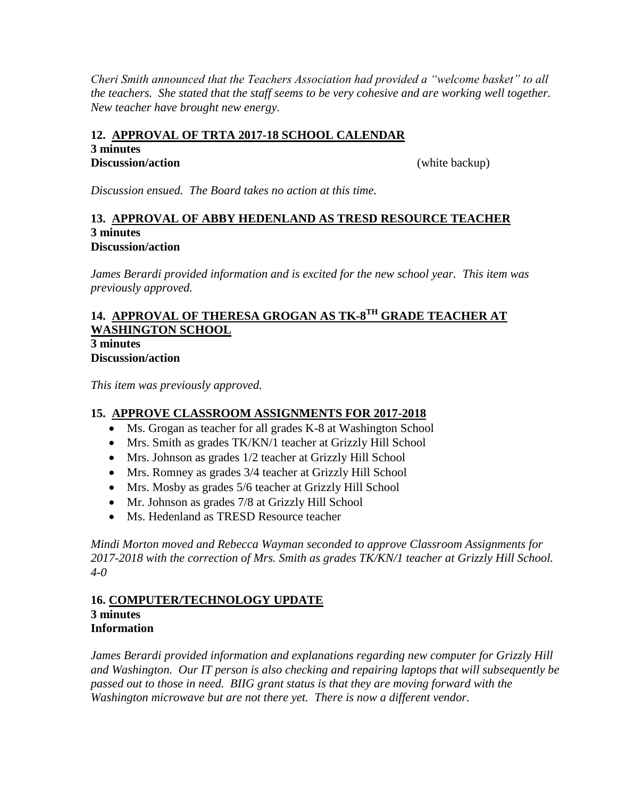*Cheri Smith announced that the Teachers Association had provided a "welcome basket" to all the teachers. She stated that the staff seems to be very cohesive and are working well together. New teacher have brought new energy.*

# **12. APPROVAL OF TRTA 2017-18 SCHOOL CALENDAR**

**3 minutes**

**Discussion/action** (white backup)

*Discussion ensued. The Board takes no action at this time.*

#### **13. APPROVAL OF ABBY HEDENLAND AS TRESD RESOURCE TEACHER 3 minutes Discussion/action**

*James Berardi provided information and is excited for the new school year. This item was previously approved.*

# **14. APPROVAL OF THERESA GROGAN AS TK-8 TH GRADE TEACHER AT WASHINGTON SCHOOL 3 minutes**

**Discussion/action**

*This item was previously approved.*

# **15. APPROVE CLASSROOM ASSIGNMENTS FOR 2017-2018**

- Ms. Grogan as teacher for all grades K-8 at Washington School
- Mrs. Smith as grades TK/KN/1 teacher at Grizzly Hill School
- Mrs. Johnson as grades 1/2 teacher at Grizzly Hill School
- Mrs. Romney as grades 3/4 teacher at Grizzly Hill School
- Mrs. Mosby as grades 5/6 teacher at Grizzly Hill School
- Mr. Johnson as grades 7/8 at Grizzly Hill School
- Ms. Hedenland as TRESD Resource teacher

*Mindi Morton moved and Rebecca Wayman seconded to approve Classroom Assignments for 2017-2018 with the correction of Mrs. Smith as grades TK/KN/1 teacher at Grizzly Hill School. 4-0*

#### **16. COMPUTER/TECHNOLOGY UPDATE 3 minutes Information**

*James Berardi provided information and explanations regarding new computer for Grizzly Hill and Washington. Our IT person is also checking and repairing laptops that will subsequently be passed out to those in need. BIIG grant status is that they are moving forward with the Washington microwave but are not there yet. There is now a different vendor.*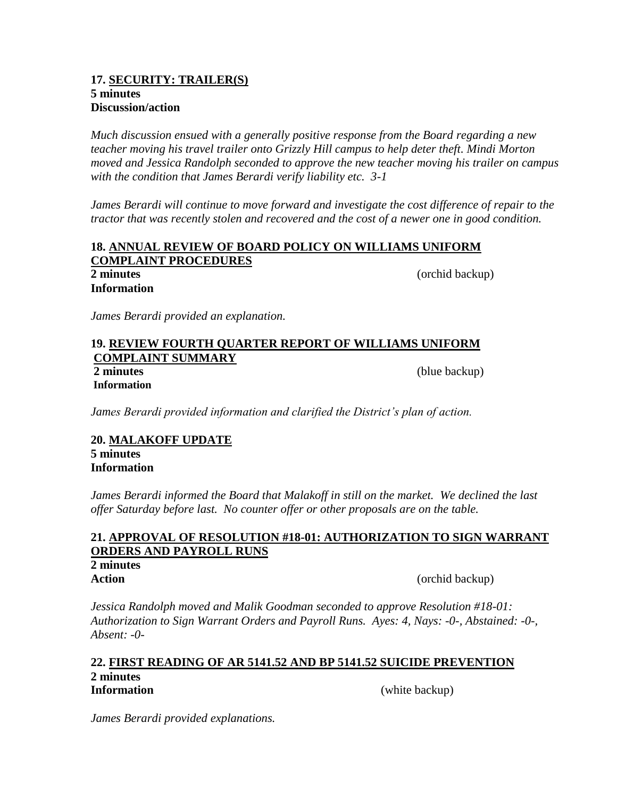#### **17. SECURITY: TRAILER(S) 5 minutes Discussion/action**

*Much discussion ensued with a generally positive response from the Board regarding a new teacher moving his travel trailer onto Grizzly Hill campus to help deter theft. Mindi Morton moved and Jessica Randolph seconded to approve the new teacher moving his trailer on campus with the condition that James Berardi verify liability etc. 3-1*

*James Berardi will continue to move forward and investigate the cost difference of repair to the tractor that was recently stolen and recovered and the cost of a newer one in good condition.* 

#### **18. ANNUAL REVIEW OF BOARD POLICY ON WILLIAMS UNIFORM COMPLAINT PROCEDURES 2 minutes** (orchid backup)

**Information**

*James Berardi provided an explanation.*

#### **19. REVIEW FOURTH QUARTER REPORT OF WILLIAMS UNIFORM COMPLAINT SUMMARY 2 minutes** (blue backup) **Information**

*James Berardi provided information and clarified the District's plan of action.*

## **20. MALAKOFF UPDATE 5 minutes Information**

*James Berardi informed the Board that Malakoff in still on the market. We declined the last offer Saturday before last. No counter offer or other proposals are on the table.*

# **21. APPROVAL OF RESOLUTION #18-01: AUTHORIZATION TO SIGN WARRANT ORDERS AND PAYROLL RUNS**

# **2 minutes**

**Action** (orchid backup)

*Jessica Randolph moved and Malik Goodman seconded to approve Resolution #18-01: Authorization to Sign Warrant Orders and Payroll Runs. Ayes: 4, Nays: -0-, Abstained: -0-, Absent: -0-*

## **22. FIRST READING OF AR 5141.52 AND BP 5141.52 SUICIDE PREVENTION 2 minutes**

**Information** (white backup)

*James Berardi provided explanations.*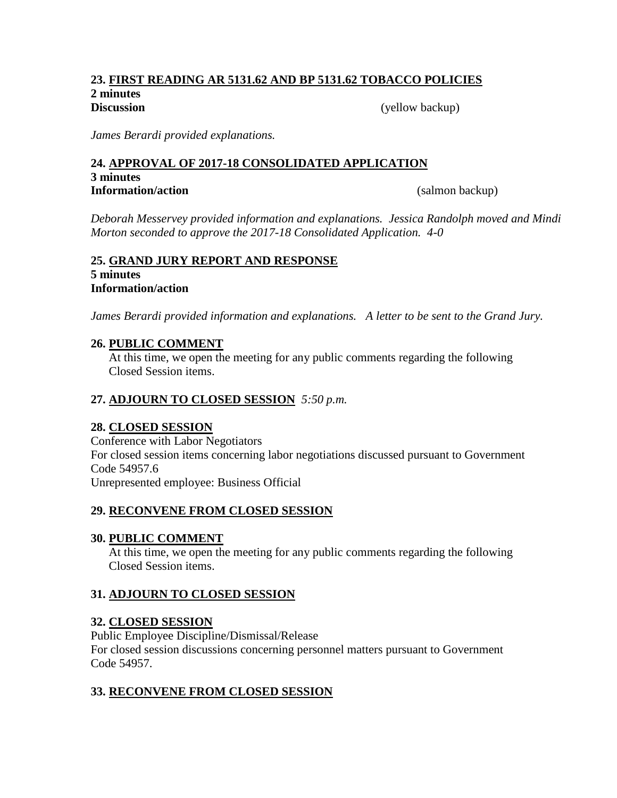#### **23. FIRST READING AR 5131.62 AND BP 5131.62 TOBACCO POLICIES 2 minutes Discussion** (yellow backup)

*James Berardi provided explanations.*

# **24. APPROVAL OF 2017-18 CONSOLIDATED APPLICATION 3 minutes Information/action** (salmon backup)

*Deborah Messervey provided information and explanations. Jessica Randolph moved and Mindi Morton seconded to approve the 2017-18 Consolidated Application. 4-0*

# **25. GRAND JURY REPORT AND RESPONSE 5 minutes Information/action**

*James Berardi provided information and explanations. A letter to be sent to the Grand Jury.*

# **26. PUBLIC COMMENT**

At this time, we open the meeting for any public comments regarding the following Closed Session items.

# **27. ADJOURN TO CLOSED SESSION** *5:50 p.m.*

# **28. CLOSED SESSION**

Conference with Labor Negotiators For closed session items concerning labor negotiations discussed pursuant to Government Code 54957.6 Unrepresented employee: Business Official

# **29. RECONVENE FROM CLOSED SESSION**

# **30. PUBLIC COMMENT**

At this time, we open the meeting for any public comments regarding the following Closed Session items.

# **31. ADJOURN TO CLOSED SESSION**

# **32. CLOSED SESSION**

Public Employee Discipline/Dismissal/Release For closed session discussions concerning personnel matters pursuant to Government Code 54957.

# **33. RECONVENE FROM CLOSED SESSION**